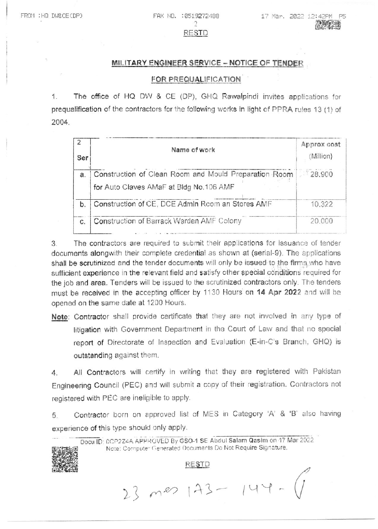### MILITARY ENGINEER SERVICE - NOTICE OF TENDER

#### FOR PREQUALIFICATION

The office of HQ DW & CE (DP), GHQ Rawalpindi invites applications for  $\mathbf{1}$ . prequalification of the contractors for the following works in light of PPRA rules 13 (1) of 2004.

| Ser | Name of work                                                                                     | Approx cost<br>(Million)<br>28,900 |  |
|-----|--------------------------------------------------------------------------------------------------|------------------------------------|--|
| a.  | Construction of Clean Room and Mould Preparation Room<br>for Auto Claves AMaF at Bldg No.106 AMF |                                    |  |
| b.  | Construction of CE, DCE Admin Room an Stores AMF                                                 | 10.322                             |  |
| C.  | Construction of Barrack Warden AMF Colony                                                        | 20,000                             |  |

The contractors are required to submit their applications for issuance of tender 3. documents alongwith their complete credential as shown at (serial-9). The applications shall be scrutinized and the tender documents will only be issued to the firms who have sufficient experience in the relevant field and satisfy other special conditions required for the job and area. Tenders will be issued to the scrutinized contractors only. The tenders must be received in the accepting officer by 1130 Hours on 14 Apr 2022 and will be opened on the same date at 1200 Hours.

Note: Contractor shall provide certificate that they are not involved in any type of litigation with Government Department in the Court of Law and that no special report of Directorate of Inspection and Evaluation (E-in-C's Branch, GHQ) is outstanding against them.

All Contractors will certify in writing that they are registered with Pakistan 4. Engineering Council (PEC) and will submit a copy of their registration. Contractors not registered with PEC are ineligible to apply.

Contractor born on approved list of MES in Category 'A' & 'B' also having 5 experience of this type should only apply.

Docu ID: 0CP2Z4A APPROVED By GSO-1 SE Abdul Salam Qasim on 17 Mar 2022 Note: Computer Generated Documents Do Not Require Signature.



#### **RESTD**

 $23 m22 143 - 144 - (1)$